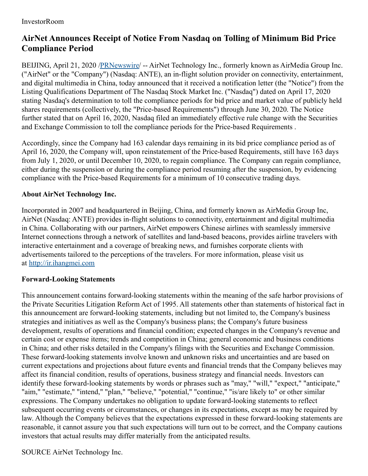## **AirNet Announces Receipt of Notice From Nasdaq on Tolling of Minimum Bid Price Compliance Period**

BEIJING, April 21, 2020 /[PRNewswire](http://www.prnewswire.com/)/ -- AirNet Technology Inc., formerly known as AirMedia Group Inc. ("AirNet" or the "Company") (Nasdaq: ANTE), an in-flight solution provider on connectivity, entertainment, and digital multimedia in China, today announced that it received a notification letter (the "Notice") from the Listing Qualifications Department of The Nasdaq Stock Market Inc. ("Nasdaq") dated on April 17, 2020 stating Nasdaq's determination to toll the compliance periods for bid price and market value of publicly held shares requirements (collectively, the "Price-based Requirements") through June 30, 2020. The Notice further stated that on April 16, 2020, Nasdaq filed an immediately effective rule change with the Securities and Exchange Commission to toll the compliance periods for the Price-based Requirements .

Accordingly, since the Company had 163 calendar days remaining in its bid price compliance period as of April 16, 2020, the Company will, upon reinstatement of the Price-based Requirements, still have 163 days from July 1, 2020, or until December 10, 2020, to regain compliance. The Company can regain compliance, either during the suspension or during the compliance period resuming after the suspension, by evidencing compliance with the Price-based Requirements for a minimum of 10 consecutive trading days.

## **About AirNet Technology Inc.**

Incorporated in 2007 and headquartered in Beijing, China, and formerly known as AirMedia Group Inc, AirNet (Nasdaq: ANTE) provides in-flight solutions to connectivity, entertainment and digital multimedia in China. Collaborating with our partners, AirNet empowers Chinese airlines with seamlessly immersive Internet connections through a network of satellites and land-based beacons, provides airline travelers with interactive entertainment and a coverage of breaking news, and furnishes corporate clients with advertisements tailored to the perceptions of the travelers. For more information, please visit us at [http://ir.ihangmei.com](http://ir.ihangmei.com/)

## **Forward-Looking Statements**

This announcement contains forward-looking statements within the meaning of the safe harbor provisions of the Private Securities Litigation Reform Act of 1995. All statements other than statements of historical fact in this announcement are forward-looking statements, including but not limited to, the Company's business strategies and initiatives as well as the Company's business plans; the Company's future business development, results of operations and financial condition; expected changes in the Company's revenue and certain cost or expense items; trends and competition in China; general economic and business conditions in China; and other risks detailed in the Company's filings with the Securities and Exchange Commission. These forward-looking statements involve known and unknown risks and uncertainties and are based on current expectations and projections about future events and financial trends that the Company believes may affect its financial condition, results of operations, business strategy and financial needs. Investors can identify these forward-looking statements by words or phrases such as "may," "will," "expect," "anticipate," "aim," "estimate," "intend," "plan," "believe," "potential," "continue," "is/are likely to" or other similar expressions. The Company undertakes no obligation to update forward-looking statements to reflect subsequent occurring events or circumstances, or changes in its expectations, except as may be required by law. Although the Company believes that the expectations expressed in these forward-looking statements are reasonable, it cannot assure you that such expectations will turn out to be correct, and the Company cautions investors that actual results may differ materially from the anticipated results.